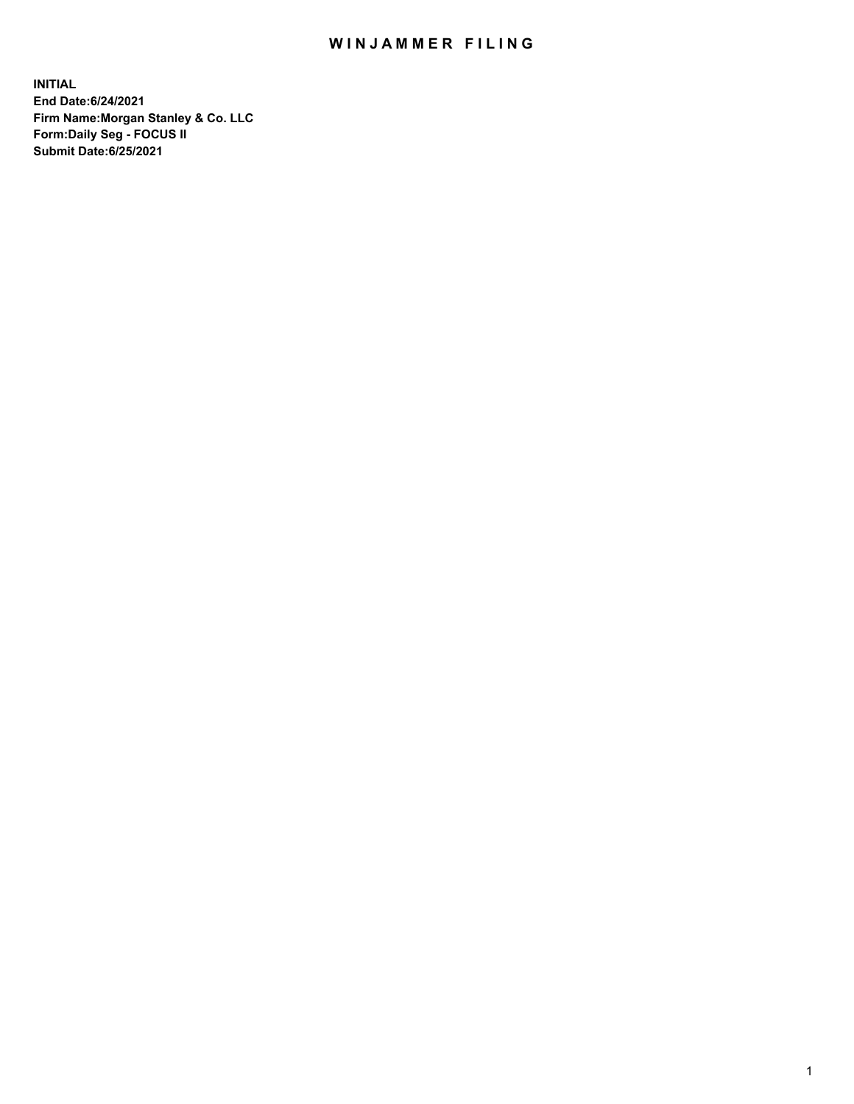## WIN JAMMER FILING

**INITIAL End Date:6/24/2021 Firm Name:Morgan Stanley & Co. LLC Form:Daily Seg - FOCUS II Submit Date:6/25/2021**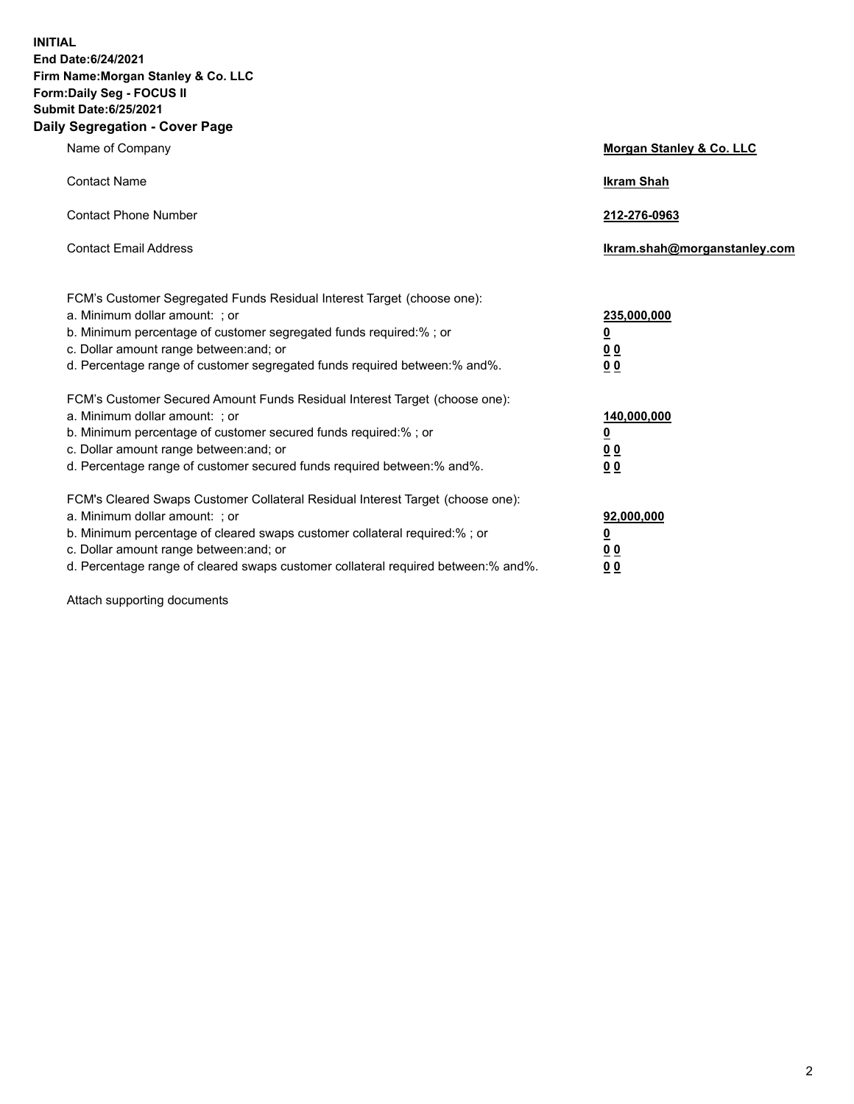**INITIAL End Date:6/24/2021 Firm Name:Morgan Stanley & Co. LLC Form:Daily Seg - FOCUS II Submit Date:6/25/2021 Daily Segregation - Cover Page**

| Name of Company                                                                                                                                                                                                                                                                                                                | <b>Morgan Stanley &amp; Co. LLC</b>                    |
|--------------------------------------------------------------------------------------------------------------------------------------------------------------------------------------------------------------------------------------------------------------------------------------------------------------------------------|--------------------------------------------------------|
| <b>Contact Name</b>                                                                                                                                                                                                                                                                                                            | <b>Ikram Shah</b>                                      |
| <b>Contact Phone Number</b>                                                                                                                                                                                                                                                                                                    | 212-276-0963                                           |
| <b>Contact Email Address</b>                                                                                                                                                                                                                                                                                                   | Ikram.shah@morganstanley.com                           |
| FCM's Customer Segregated Funds Residual Interest Target (choose one):<br>a. Minimum dollar amount: : or<br>b. Minimum percentage of customer segregated funds required:%; or<br>c. Dollar amount range between: and; or<br>d. Percentage range of customer segregated funds required between:% and%.                          | 235,000,000<br><u>0</u><br><u>00</u><br><u>00</u>      |
| FCM's Customer Secured Amount Funds Residual Interest Target (choose one):<br>a. Minimum dollar amount: ; or<br>b. Minimum percentage of customer secured funds required:%; or<br>c. Dollar amount range between: and; or<br>d. Percentage range of customer secured funds required between:% and%.                            | 140,000,000<br><u>0</u><br><u>00</u><br>0 <sub>0</sub> |
| FCM's Cleared Swaps Customer Collateral Residual Interest Target (choose one):<br>a. Minimum dollar amount: ; or<br>b. Minimum percentage of cleared swaps customer collateral required:% ; or<br>c. Dollar amount range between: and; or<br>d. Percentage range of cleared swaps customer collateral required between:% and%. | 92,000,000<br><u>0</u><br><u>00</u><br>00              |

Attach supporting documents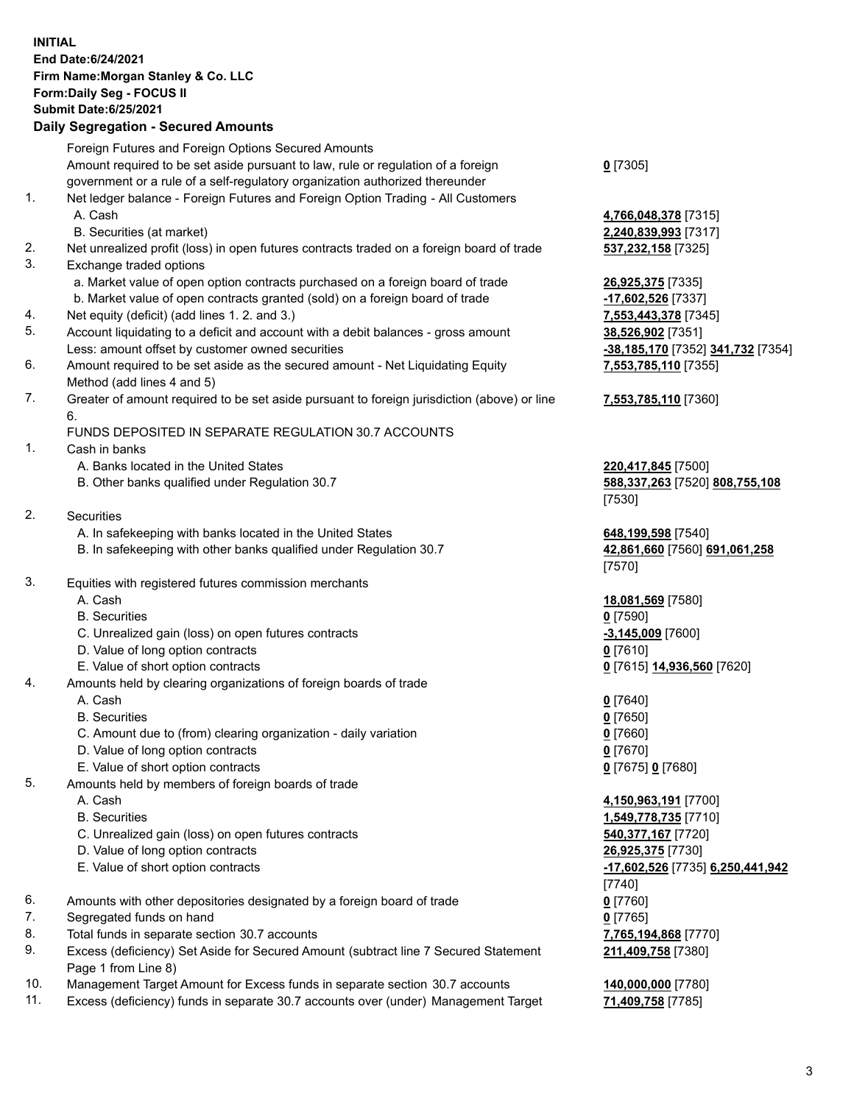## **INITIAL End Date:6/24/2021 Firm Name:Morgan Stanley & Co. LLC Form:Daily Seg - FOCUS II Submit Date:6/25/2021**

## **Daily Segregation - Secured Amounts**

|    | Foreign Futures and Foreign Options Secured Amounts                                                                                                              |                                         |
|----|------------------------------------------------------------------------------------------------------------------------------------------------------------------|-----------------------------------------|
|    | Amount required to be set aside pursuant to law, rule or regulation of a foreign<br>government or a rule of a self-regulatory organization authorized thereunder | $0$ [7305]                              |
| 1. | Net ledger balance - Foreign Futures and Foreign Option Trading - All Customers                                                                                  |                                         |
|    | A. Cash                                                                                                                                                          |                                         |
|    |                                                                                                                                                                  | 4,766,048,378 [7315]                    |
|    | B. Securities (at market)                                                                                                                                        | 2,240,839,993 [7317]                    |
| 2. | Net unrealized profit (loss) in open futures contracts traded on a foreign board of trade                                                                        | 537,232,158 [7325]                      |
| 3. | Exchange traded options                                                                                                                                          |                                         |
|    | a. Market value of open option contracts purchased on a foreign board of trade                                                                                   | 26,925,375 [7335]                       |
|    | b. Market value of open contracts granted (sold) on a foreign board of trade                                                                                     | -17,602,526 [7337]                      |
| 4. | Net equity (deficit) (add lines 1.2. and 3.)                                                                                                                     | 7,553,443,378 [7345]                    |
| 5. | Account liquidating to a deficit and account with a debit balances - gross amount                                                                                | 38,526,902 [7351]                       |
|    | Less: amount offset by customer owned securities                                                                                                                 | -38,185,170 [7352] 341,732 [7354]       |
| 6. | Amount required to be set aside as the secured amount - Net Liquidating Equity                                                                                   | 7,553,785,110 [7355]                    |
|    | Method (add lines 4 and 5)                                                                                                                                       |                                         |
| 7. | Greater of amount required to be set aside pursuant to foreign jurisdiction (above) or line<br>6.                                                                | 7,553,785,110 [7360]                    |
|    | FUNDS DEPOSITED IN SEPARATE REGULATION 30.7 ACCOUNTS                                                                                                             |                                         |
| 1. | Cash in banks                                                                                                                                                    |                                         |
|    | A. Banks located in the United States                                                                                                                            | 220,417,845 [7500]                      |
|    | B. Other banks qualified under Regulation 30.7                                                                                                                   | 588,337,263 [7520] 808,755,108          |
|    |                                                                                                                                                                  | [7530]                                  |
| 2. | <b>Securities</b>                                                                                                                                                |                                         |
|    | A. In safekeeping with banks located in the United States                                                                                                        | 648,199,598 [7540]                      |
|    | B. In safekeeping with other banks qualified under Regulation 30.7                                                                                               | 42,861,660 [7560] 691,061,258           |
|    |                                                                                                                                                                  | [7570]                                  |
| 3. | Equities with registered futures commission merchants                                                                                                            |                                         |
|    | A. Cash                                                                                                                                                          | 18,081,569 [7580]                       |
|    | <b>B.</b> Securities                                                                                                                                             | $0$ [7590]                              |
|    | C. Unrealized gain (loss) on open futures contracts                                                                                                              | $-3,145,009$ [7600]                     |
|    | D. Value of long option contracts                                                                                                                                | $0$ [7610]                              |
|    | E. Value of short option contracts                                                                                                                               | 0 [7615] 14,936,560 [7620]              |
| 4. | Amounts held by clearing organizations of foreign boards of trade                                                                                                |                                         |
|    | A. Cash                                                                                                                                                          | $0$ [7640]                              |
|    | <b>B.</b> Securities                                                                                                                                             | $0$ [7650]                              |
|    | C. Amount due to (from) clearing organization - daily variation                                                                                                  | $0$ [7660]                              |
|    | D. Value of long option contracts                                                                                                                                | $0$ [7670]                              |
|    | E. Value of short option contracts                                                                                                                               | 0 [7675] 0 [7680]                       |
| 5. | Amounts held by members of foreign boards of trade                                                                                                               |                                         |
|    | A. Cash                                                                                                                                                          | 4,150,963,191 [7700]                    |
|    | <b>B.</b> Securities                                                                                                                                             | 1,549,778,735 [7710]                    |
|    | C. Unrealized gain (loss) on open futures contracts                                                                                                              | 540,377,167 [7720]                      |
|    | D. Value of long option contracts                                                                                                                                | 26,925,375 [7730]                       |
|    | E. Value of short option contracts                                                                                                                               | <u>-17,602,526</u> [7735] 6,250,441,942 |
|    |                                                                                                                                                                  | $[7740]$                                |
| 6. | Amounts with other depositories designated by a foreign board of trade                                                                                           | $0$ [7760]                              |
| 7. | Segregated funds on hand                                                                                                                                         | $0$ [7765]                              |
| 8. | Total funds in separate section 30.7 accounts                                                                                                                    | 7,765,194,868 [7770]                    |
| 9. | Excess (deficiency) Set Aside for Secured Amount (subtract line 7 Secured Statement                                                                              | 211,409,758 [7380]                      |
|    | Page 1 from Line 8)                                                                                                                                              |                                         |

- 10. Management Target Amount for Excess funds in separate section 30.7 accounts **140,000,000** [7780]
- 11. Excess (deficiency) funds in separate 30.7 accounts over (under) Management Target **71,409,758** [7785]

3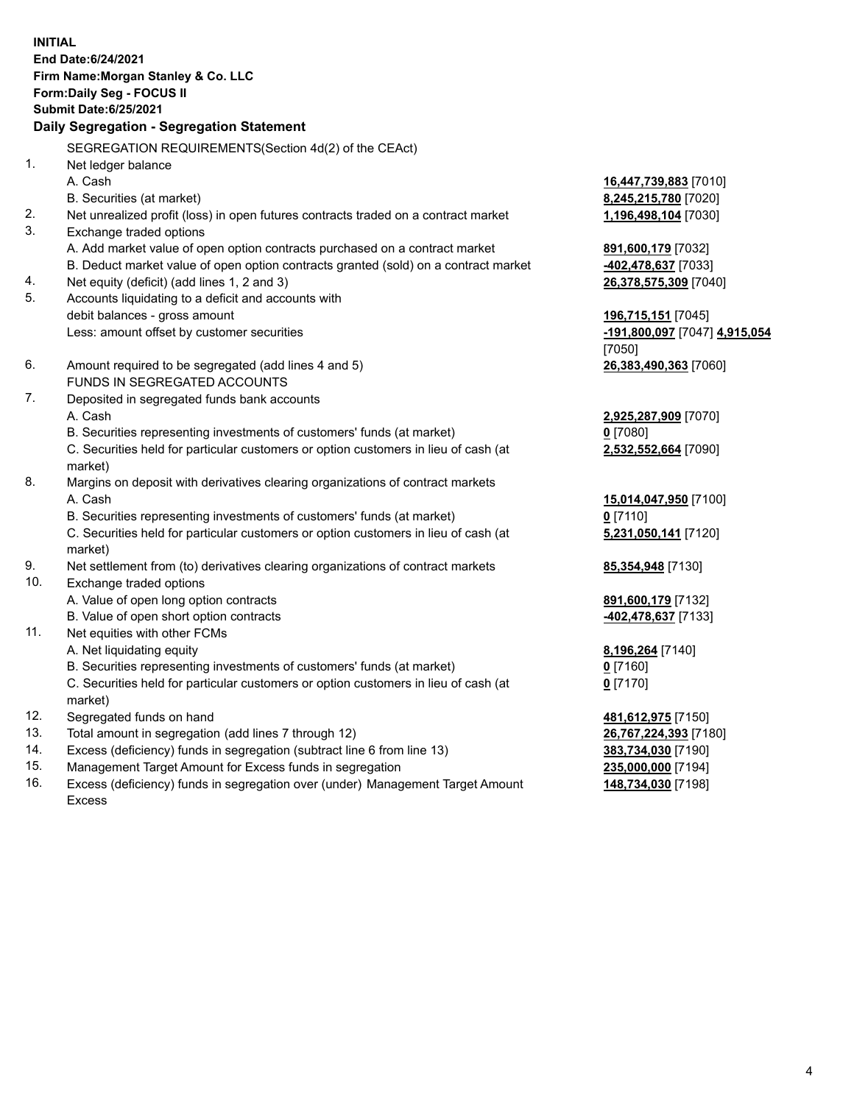**INITIAL End Date:6/24/2021 Firm Name:Morgan Stanley & Co. LLC Form:Daily Seg - FOCUS II Submit Date:6/25/2021 Daily Segregation - Segregation Statement** SEGREGATION REQUIREMENTS(Section 4d(2) of the CEAct) 1. Net ledger balance A. Cash **16,447,739,883** [7010] B. Securities (at market) **8,245,215,780** [7020] 2. Net unrealized profit (loss) in open futures contracts traded on a contract market **1,196,498,104** [7030] 3. Exchange traded options A. Add market value of open option contracts purchased on a contract market **891,600,179** [7032] B. Deduct market value of open option contracts granted (sold) on a contract market **-402,478,637** [7033] 4. Net equity (deficit) (add lines 1, 2 and 3) **26,378,575,309** [7040] 5. Accounts liquidating to a deficit and accounts with debit balances - gross amount **196,715,151** [7045] Less: amount offset by customer securities **-191,800,097** [7047] **4,915,054** [7050] 6. Amount required to be segregated (add lines 4 and 5) **26,383,490,363** [7060] FUNDS IN SEGREGATED ACCOUNTS 7. Deposited in segregated funds bank accounts A. Cash **2,925,287,909** [7070] B. Securities representing investments of customers' funds (at market) **0** [7080] C. Securities held for particular customers or option customers in lieu of cash (at market) **2,532,552,664** [7090] 8. Margins on deposit with derivatives clearing organizations of contract markets A. Cash **15,014,047,950** [7100] B. Securities representing investments of customers' funds (at market) **0** [7110] C. Securities held for particular customers or option customers in lieu of cash (at market) **5,231,050,141** [7120] 9. Net settlement from (to) derivatives clearing organizations of contract markets **85,354,948** [7130] 10. Exchange traded options A. Value of open long option contracts **891,600,179** [7132] B. Value of open short option contracts **-402,478,637** [7133] 11. Net equities with other FCMs A. Net liquidating equity **8,196,264** [7140] B. Securities representing investments of customers' funds (at market) **0** [7160] C. Securities held for particular customers or option customers in lieu of cash (at market) **0** [7170] 12. Segregated funds on hand **481,612,975** [7150] 13. Total amount in segregation (add lines 7 through 12) **26,767,224,393** [7180] 14. Excess (deficiency) funds in segregation (subtract line 6 from line 13) **383,734,030** [7190] 15. Management Target Amount for Excess funds in segregation **235,000,000** [7194]

16. Excess (deficiency) funds in segregation over (under) Management Target Amount Excess

**148,734,030** [7198]